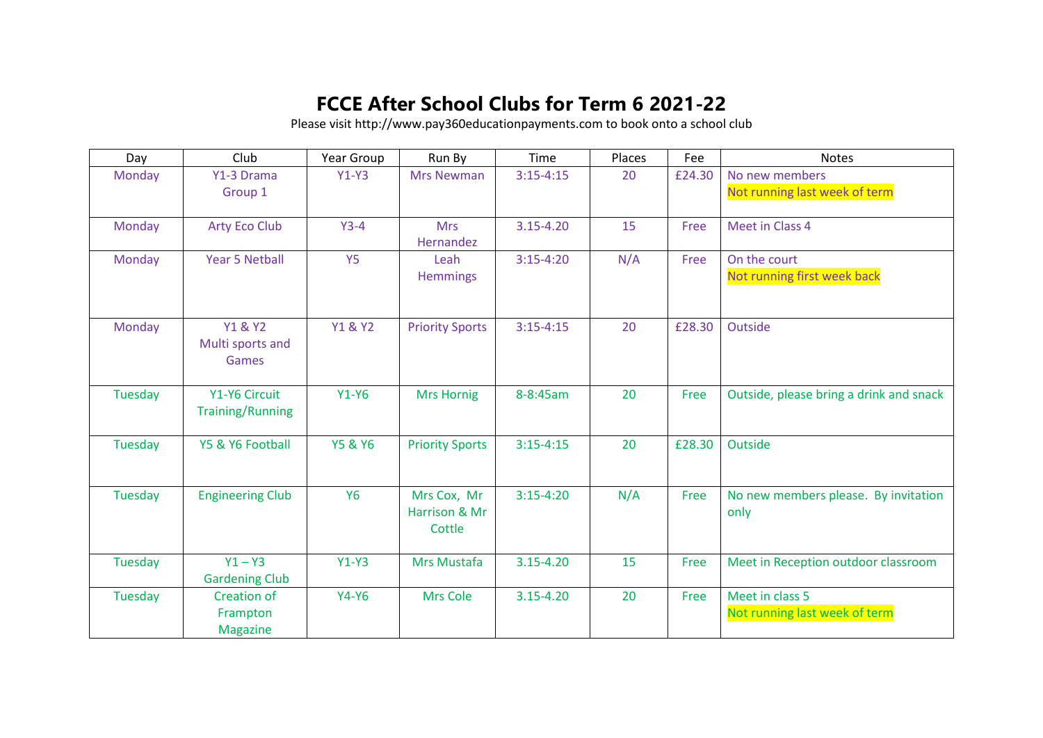## **FCCE After School Clubs for Term 6 2021-22**

Please visit http://www.pay360educationpayments.com to book onto a school club

| Day     | Club                                              | Year Group         | Run By                                 | Time          | Places | Fee    | <b>Notes</b>                                     |
|---------|---------------------------------------------------|--------------------|----------------------------------------|---------------|--------|--------|--------------------------------------------------|
| Monday  | Y1-3 Drama                                        | $Y1-Y3$            | <b>Mrs Newman</b>                      | $3:15-4:15$   | 20     | £24.30 | No new members                                   |
|         | Group 1                                           |                    |                                        |               |        |        | Not running last week of term                    |
| Monday  | <b>Arty Eco Club</b>                              | $Y3-4$             | <b>Mrs</b><br>Hernandez                | 3.15-4.20     | 15     | Free   | Meet in Class 4                                  |
| Monday  | <b>Year 5 Netball</b>                             | <b>Y5</b>          | Leah<br><b>Hemmings</b>                | $3:15-4:20$   | N/A    | Free   | On the court<br>Not running first week back      |
| Monday  | <b>Y1 &amp; Y2</b><br>Multi sports and<br>Games   | <b>Y1 &amp; Y2</b> | <b>Priority Sports</b>                 | $3:15 - 4:15$ | 20     | £28.30 | Outside                                          |
| Tuesday | Y1-Y6 Circuit<br><b>Training/Running</b>          | $Y1-Y6$            | <b>Mrs Hornig</b>                      | 8-8:45am      | 20     | Free   | Outside, please bring a drink and snack          |
| Tuesday | Y5 & Y6 Football                                  | <b>Y5 &amp; Y6</b> | <b>Priority Sports</b>                 | $3:15-4:15$   | 20     | £28.30 | Outside                                          |
| Tuesday | <b>Engineering Club</b>                           | <b>Y6</b>          | Mrs Cox, Mr<br>Harrison & Mr<br>Cottle | $3:15-4:20$   | N/A    | Free   | No new members please. By invitation<br>only     |
| Tuesday | $Y1 - Y3$<br><b>Gardening Club</b>                | $Y1-Y3$            | Mrs Mustafa                            | $3.15 - 4.20$ | 15     | Free   | Meet in Reception outdoor classroom              |
| Tuesday | <b>Creation of</b><br>Frampton<br><b>Magazine</b> | $Y4-Y6$            | <b>Mrs Cole</b>                        | $3.15 - 4.20$ | 20     | Free   | Meet in class 5<br>Not running last week of term |